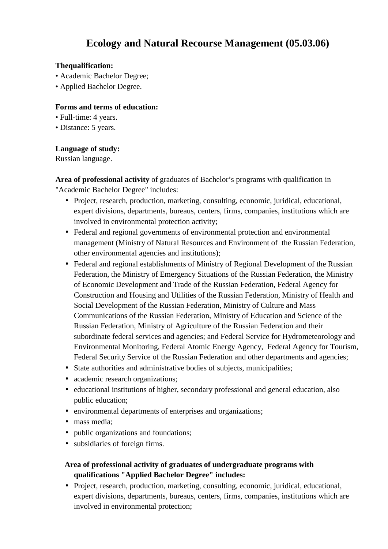# **Ecology and Natural Recourse Management (05.03.06)**

#### **Thequalification:**

- Academic Bachelor Degree;
- Applied Bachelor Degree.

#### **Forms and terms of education:**

- Full-time: 4 years.
- Distance: 5 years.

#### **Language of study:**

Russian language.

**Area of professional activity** of graduates of Bachelor's programs with qualification in "Academic Bachelor Degree" includes:

- Project, research, production, marketing, consulting, economic, juridical, educational, expert divisions, departments, bureaus, centers, firms, companies, institutions which are involved in environmental protection activity;
- Federal and regional governments of environmental protection and environmental management (Ministry of Natural Resources and Environment of the Russian Federation, other environmental agencies and institutions);
- Federal and regional establishments of Ministry of Regional Development of the Russian Federation, the Ministry of Emergency Situations of the Russian Federation, the Ministry of Economic Development and Trade of the Russian Federation, Federal Agency for Construction and Housing and Utilities of the Russian Federation, Ministry of Health and Social Development of the Russian Federation, Ministry of Culture and Mass Communications of the Russian Federation, Ministry of Education and Science of the Russian Federation, Ministry of Agriculture of the Russian Federation and their subordinate federal services and agencies; and Federal Service for Hydrometeorology and Environmental Monitoring, Federal Atomic Energy Agency, Federal Agency for Tourism, Federal Security Service of the Russian Federation and other departments and agencies;
- State authorities and administrative bodies of subjects, municipalities;
- academic research organizations;
- educational institutions of higher, secondary professional and general education, also public education;
- environmental departments of enterprises and organizations;
- mass media:
- public organizations and foundations;
- subsidiaries of foreign firms.

### **Area of professional activity of graduates of undergraduate programs with qualifications "Applied Bachelor Degree" includes:**

• Project, research, production, marketing, consulting, economic, juridical, educational, expert divisions, departments, bureaus, centers, firms, companies, institutions which are involved in environmental protection;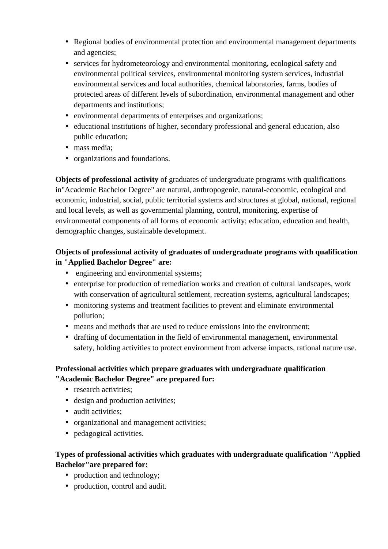- Regional bodies of environmental protection and environmental management departments and agencies;
- services for hydrometeorology and environmental monitoring, ecological safety and environmental political services, environmental monitoring system services, industrial environmental services and local authorities, chemical laboratories, farms, bodies of protected areas of different levels of subordination, environmental management and other departments and institutions;
- environmental departments of enterprises and organizations;
- educational institutions of higher, secondary professional and general education, also public education;
- mass media:
- organizations and foundations.

**Objects of professional activity** of graduates of undergraduate programs with qualifications in"Academic Bachelor Degree" are natural, anthropogenic, natural-economic, ecological and economic, industrial, social, public territorial systems and structures at global, national, regional and local levels, as well as governmental planning, control, monitoring, expertise of environmental components of all forms of economic activity; education, education and health, demographic changes, sustainable development.

## **Objects of professional activity of graduates of undergraduate programs with qualification in "Applied Bachelor Degree" are:**

- engineering and environmental systems;
- enterprise for production of remediation works and creation of cultural landscapes, work with conservation of agricultural settlement, recreation systems, agricultural landscapes;
- monitoring systems and treatment facilities to prevent and eliminate environmental pollution;
- means and methods that are used to reduce emissions into the environment;
- drafting of documentation in the field of environmental management, environmental safety, holding activities to protect environment from adverse impacts, rational nature use.

# **Professional activities which prepare graduates with undergraduate qualification "Academic Bachelor Degree" are prepared for:**

- research activities:
- design and production activities;
- audit activities;
- organizational and management activities;
- pedagogical activities.

# **Types of professional activities which graduates with undergraduate qualification "Applied Bachelor"are prepared for:**

- production and technology;
- production, control and audit.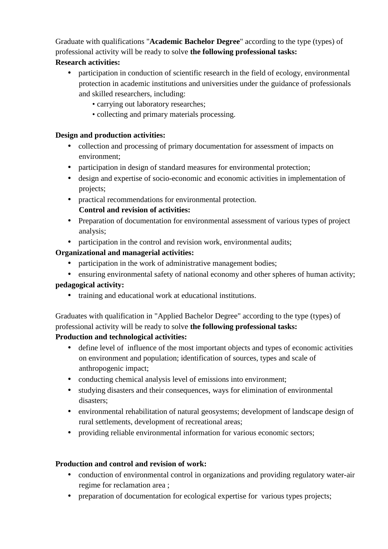Graduate with qualifications "**Academic Bachelor Degree**" according to the type (types) of professional activity will be ready to solve **the following professional tasks:**

## **Research activities:**

- participation in conduction of scientific research in the field of ecology, environmental protection in academic institutions and universities under the guidance of professionals and skilled researchers, including:
	- carrying out laboratory researches;
	- collecting and primary materials processing.

## **Design and production activities:**

- collection and processing of primary documentation for assessment of impacts on environment;
- participation in design of standard measures for environmental protection;
- design and expertise of socio-economic and economic activities in implementation of projects;
- practical recommendations for environmental protection.

# **Control and revision of activities:**

- Preparation of documentation for environmental assessment of various types of project analysis;
- participation in the control and revision work, environmental audits;

# **Organizational and managerial activities:**

- participation in the work of administrative management bodies;
- ensuring environmental safety of national economy and other spheres of human activity;

# **pedagogical activity:**

training and educational work at educational institutions.

Graduates with qualification in "Applied Bachelor Degree" according to the type (types) of professional activity will be ready to solve **the following professional tasks:**

# **Production and technological activities:**

- define level of influence of the most important objects and types of economic activities on environment and population; identification of sources, types and scale of anthropogenic impact;
- conducting chemical analysis level of emissions into environment;
- studying disasters and their consequences, ways for elimination of environmental disasters;
- environmental rehabilitation of natural geosystems; development of landscape design of rural settlements, development of recreational areas;
- providing reliable environmental information for various economic sectors;

# **Production and control and revision of work:**

- conduction of environmental control in organizations and providing regulatory water-air regime for reclamation area ;
- preparation of documentation for ecological expertise for various types projects;